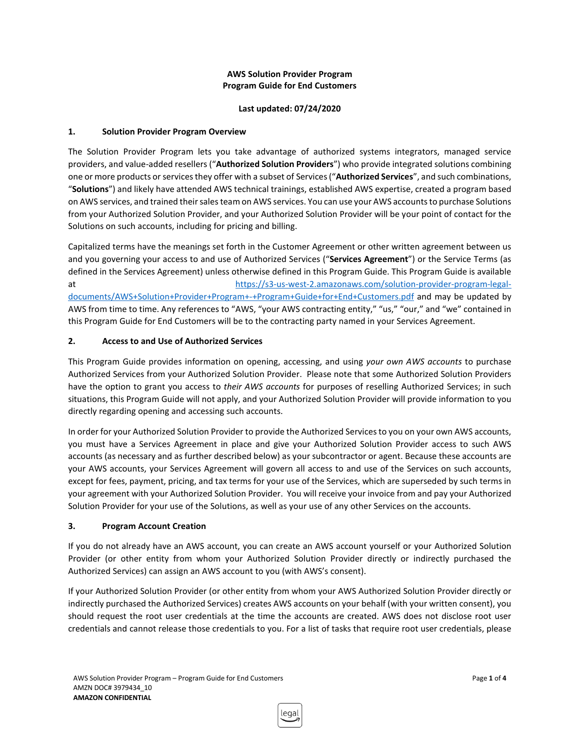### **AWS Solution Provider Program Program Guide for End Customers**

### **Last updated: 07/24/2020**

## **1. Solution Provider Program Overview**

The Solution Provider Program lets you take advantage of authorized systems integrators, managed service providers, and value-added resellers ("**Authorized Solution Providers**") who provide integrated solutions combining one or more products or services they offer with a subset of Services ("**Authorized Services**", and such combinations, "**Solutions**") and likely have attended AWS technical trainings, established AWS expertise, created a program based on AWS services, and trained their sales team on AWS services. You can use your AWS accounts to purchase Solutions from your Authorized Solution Provider, and your Authorized Solution Provider will be your point of contact for the Solutions on such accounts, including for pricing and billing.

Capitalized terms have the meanings set forth in the Customer Agreement or other written agreement between us and you governing your access to and use of Authorized Services ("**Services Agreement**") or the Service Terms (as defined in the Services Agreement) unless otherwise defined in this Program Guide. This Program Guide is available at [https://s3-us-west-2.amazonaws.com/solution-provider-program-legal](https://s3-us-west-2.amazonaws.com/solution-provider-program-legal-documents/AWS+Solution+Provider+Program+-+Program+Guide+for+End+Customers.pdf)[documents/AWS+Solution+Provider+Program+-+Program+Guide+for+End+Customers.pdf](https://s3-us-west-2.amazonaws.com/solution-provider-program-legal-documents/AWS+Solution+Provider+Program+-+Program+Guide+for+End+Customers.pdf) and may be updated by AWS from time to time. Any references to "AWS, "your AWS contracting entity," "us," "our," and "we" contained in this Program Guide for End Customers will be to the contracting party named in your Services Agreement.

# **2. Access to and Use of Authorized Services**

This Program Guide provides information on opening, accessing, and using *your own AWS accounts* to purchase Authorized Services from your Authorized Solution Provider. Please note that some Authorized Solution Providers have the option to grant you access to *their AWS accounts* for purposes of reselling Authorized Services; in such situations, this Program Guide will not apply, and your Authorized Solution Provider will provide information to you directly regarding opening and accessing such accounts.

In order for your Authorized Solution Provider to provide the Authorized Services to you on your own AWS accounts, you must have a Services Agreement in place and give your Authorized Solution Provider access to such AWS accounts (as necessary and as further described below) as your subcontractor or agent. Because these accounts are your AWS accounts, your Services Agreement will govern all access to and use of the Services on such accounts, except for fees, payment, pricing, and tax terms for your use of the Services, which are superseded by such terms in your agreement with your Authorized Solution Provider. You will receive your invoice from and pay your Authorized Solution Provider for your use of the Solutions, as well as your use of any other Services on the accounts.

## **3. Program Account Creation**

If you do not already have an AWS account, you can create an AWS account yourself or your Authorized Solution Provider (or other entity from whom your Authorized Solution Provider directly or indirectly purchased the Authorized Services) can assign an AWS account to you (with AWS's consent).

If your Authorized Solution Provider (or other entity from whom your AWS Authorized Solution Provider directly or indirectly purchased the Authorized Services) creates AWS accounts on your behalf (with your written consent), you should request the root user credentials at the time the accounts are created. AWS does not disclose root user credentials and cannot release those credentials to you. For a list of tasks that require root user credentials, please

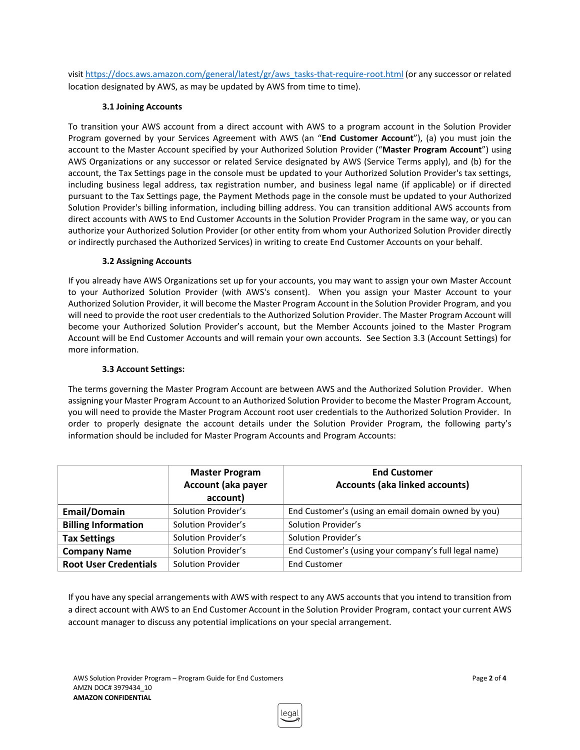visit [https://docs.aws.amazon.com/general/latest/gr/aws\\_tasks-that-require-root.html](https://docs.aws.amazon.com/general/latest/gr/aws_tasks-that-require-root.html) (or any successor or related location designated by AWS, as may be updated by AWS from time to time).

## **3.1 Joining Accounts**

To transition your AWS account from a direct account with AWS to a program account in the Solution Provider Program governed by your Services Agreement with AWS (an "**End Customer Account**"), (a) you must join the account to the Master Account specified by your Authorized Solution Provider ("**Master Program Account**") using AWS Organizations or any successor or related Service designated by AWS (Service Terms apply), and (b) for the account, the Tax Settings page in the console must be updated to your Authorized Solution Provider's tax settings, including business legal address, tax registration number, and business legal name (if applicable) or if directed pursuant to the Tax Settings page, the Payment Methods page in the console must be updated to your Authorized Solution Provider's billing information, including billing address. You can transition additional AWS accounts from direct accounts with AWS to End Customer Accounts in the Solution Provider Program in the same way, or you can authorize your Authorized Solution Provider (or other entity from whom your Authorized Solution Provider directly or indirectly purchased the Authorized Services) in writing to create End Customer Accounts on your behalf.

## **3.2 Assigning Accounts**

If you already have AWS Organizations set up for your accounts, you may want to assign your own Master Account to your Authorized Solution Provider (with AWS's consent). When you assign your Master Account to your Authorized Solution Provider, it will become the Master Program Account in the Solution Provider Program, and you will need to provide the root user credentials to the Authorized Solution Provider. The Master Program Account will become your Authorized Solution Provider's account, but the Member Accounts joined to the Master Program Account will be End Customer Accounts and will remain your own accounts. See Section 3.3 (Account Settings) for more information.

## **3.3 Account Settings:**

The terms governing the Master Program Account are between AWS and the Authorized Solution Provider. When assigning your Master Program Account to an Authorized Solution Provider to become the Master Program Account, you will need to provide the Master Program Account root user credentials to the Authorized Solution Provider. In order to properly designate the account details under the Solution Provider Program, the following party's information should be included for Master Program Accounts and Program Accounts:

|                              | <b>Master Program</b><br>Account (aka payer<br>account) | <b>End Customer</b><br><b>Accounts (aka linked accounts)</b> |
|------------------------------|---------------------------------------------------------|--------------------------------------------------------------|
| <b>Email/Domain</b>          | Solution Provider's                                     | End Customer's (using an email domain owned by you)          |
| <b>Billing Information</b>   | Solution Provider's                                     | Solution Provider's                                          |
| <b>Tax Settings</b>          | Solution Provider's                                     | Solution Provider's                                          |
| <b>Company Name</b>          | Solution Provider's                                     | End Customer's (using your company's full legal name)        |
| <b>Root User Credentials</b> | Solution Provider                                       | <b>End Customer</b>                                          |

If you have any special arrangements with AWS with respect to any AWS accounts that you intend to transition from a direct account with AWS to an End Customer Account in the Solution Provider Program, contact your current AWS account manager to discuss any potential implications on your special arrangement.

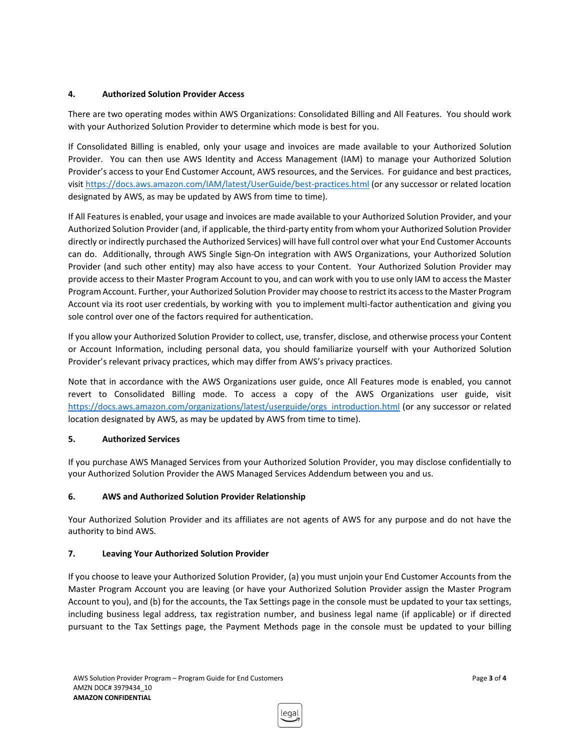## **4. Authorized Solution Provider Access**

There are two operating modes within AWS Organizations: Consolidated Billing and All Features. You should work with your Authorized Solution Provider to determine which mode is best for you.

If Consolidated Billing is enabled, only your usage and invoices are made available to your Authorized Solution Provider. You can then use AWS Identity and Access Management (IAM) to manage your Authorized Solution Provider's access to your End Customer Account, AWS resources, and the Services. For guidance and best practices, visit <https://docs.aws.amazon.com/IAM/latest/UserGuide/best-practices.html> (or any successor or related location designated by AWS, as may be updated by AWS from time to time).

If All Features is enabled, your usage and invoices are made available to your Authorized Solution Provider, and your Authorized Solution Provider (and, if applicable, the third-party entity from whom your Authorized Solution Provider directly or indirectly purchased the Authorized Services) will have full control over what your End Customer Accounts can do. Additionally, through AWS Single Sign-On integration with AWS Organizations, your Authorized Solution Provider (and such other entity) may also have access to your Content. Your Authorized Solution Provider may provide access to their Master Program Account to you, and can work with you to use only IAM to access the Master Program Account. Further, your Authorized Solution Provider may choose to restrict its access to the Master Program Account via its root user credentials, by working with you to implement multi-factor authentication and giving you sole control over one of the factors required for authentication.

If you allow your Authorized Solution Provider to collect, use, transfer, disclose, and otherwise process your Content or Account Information, including personal data, you should familiarize yourself with your Authorized Solution Provider's relevant privacy practices, which may differ from AWS's privacy practices.

Note that in accordance with the AWS Organizations user guide, once All Features mode is enabled, you cannot revert to Consolidated Billing mode. To access a copy of the AWS Organizations user guide, visit [https://docs.aws.amazon.com/organizations/latest/userguide/orgs\\_introduction.html](https://docs.aws.amazon.com/organizations/latest/userguide/orgs_introduction.html) (or any successor or related location designated by AWS, as may be updated by AWS from time to time).

#### **5. Authorized Services**

If you purchase AWS Managed Services from your Authorized Solution Provider, you may disclose confidentially to your Authorized Solution Provider the AWS Managed Services Addendum between you and us.

#### **6. AWS and Authorized Solution Provider Relationship**

Your Authorized Solution Provider and its affiliates are not agents of AWS for any purpose and do not have the authority to bind AWS.

#### **7. Leaving Your Authorized Solution Provider**

If you choose to leave your Authorized Solution Provider, (a) you must unjoin your End Customer Accounts from the Master Program Account you are leaving (or have your Authorized Solution Provider assign the Master Program Account to you), and (b) for the accounts, the Tax Settings page in the console must be updated to your tax settings, including business legal address, tax registration number, and business legal name (if applicable) or if directed pursuant to the Tax Settings page, the Payment Methods page in the console must be updated to your billing